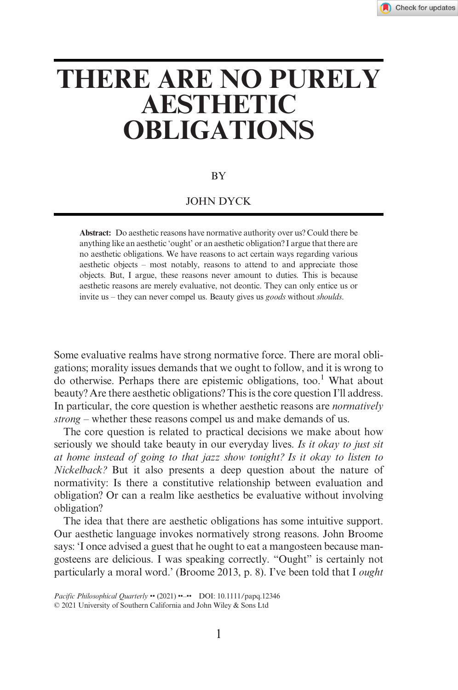# **THERE ARE NO PURELY AESTHETIC OBLIGATIONS**

#### BY

### JOHN DYCK

**Abstract:** Do aesthetic reasons have normative authority over us? Could there be anything like an aesthetic 'ought' or an aesthetic obligation? I argue that there are no aesthetic obligations. We have reasons to act certain ways regarding various aesthetic objects – most notably, reasons to attend to and appreciate those objects. But, I argue, these reasons never amount to duties. This is because aesthetic reasons are merely evaluative, not deontic. They can only entice us or invite us – they can never compel us. Beauty gives us *goods* without *shoulds*.

Some evaluative realms have strong normative force. There are moral obligations; morality issues demands that we ought to follow, and it is wrong to do otherwise. Perhaps there are epistemic obligations, too.<sup>1</sup> What about beauty? Are there aesthetic obligations? This is the core question I'll address. In particular, the core question is whether aesthetic reasons are *normatively strong* – whether these reasons compel us and make demands of us.

The core question is related to practical decisions we make about how seriously we should take beauty in our everyday lives. *Is it okay to just sit at home instead of going to that jazz show tonight? Is it okay to listen to Nickelback?* But it also presents a deep question about the nature of normativity: Is there a constitutive relationship between evaluation and obligation? Or can a realm like aesthetics be evaluative without involving obligation?

The idea that there are aesthetic obligations has some intuitive support. Our aesthetic language invokes normatively strong reasons. John Broome says: 'I once advised a guest that he ought to eat a mangosteen because mangosteens are delicious. I was speaking correctly. "Ought" is certainly not particularly a moral word.' (Broome 2013, p. 8). I've been told that I *ought*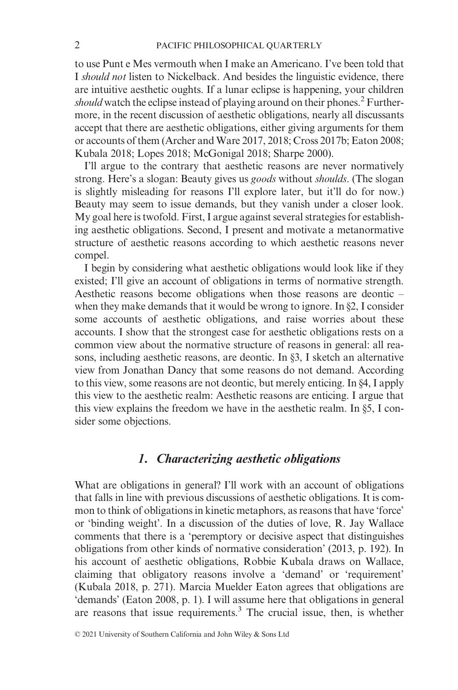to use Punt e Mes vermouth when I make an Americano. I've been told that I *should not* listen to Nickelback. And besides the linguistic evidence, there are intuitive aesthetic oughts. If a lunar eclipse is happening, your children *should* watch the eclipse instead of playing around on their phones.<sup>2</sup> Furthermore, in the recent discussion of aesthetic obligations, nearly all discussants accept that there are aesthetic obligations, either giving arguments for them or accounts of them (Archer and Ware 2017, 2018; Cross 2017b; Eaton 2008; Kubala 2018; Lopes 2018; McGonigal 2018; Sharpe 2000).

I'll argue to the contrary that aesthetic reasons are never normatively strong. Here's a slogan: Beauty gives us *goods* without *shoulds*. (The slogan is slightly misleading for reasons I'll explore later, but it'll do for now.) Beauty may seem to issue demands, but they vanish under a closer look. My goal here is twofold. First, I argue against several strategies for establishing aesthetic obligations. Second, I present and motivate a metanormative structure of aesthetic reasons according to which aesthetic reasons never compel.

I begin by considering what aesthetic obligations would look like if they existed; I'll give an account of obligations in terms of normative strength. Aesthetic reasons become obligations when those reasons are deontic – when they make demands that it would be wrong to ignore. In §2, I consider some accounts of aesthetic obligations, and raise worries about these accounts. I show that the strongest case for aesthetic obligations rests on a common view about the normative structure of reasons in general: all reasons, including aesthetic reasons, are deontic. In §3, I sketch an alternative view from Jonathan Dancy that some reasons do not demand. According to this view, some reasons are not deontic, but merely enticing. In §4, I apply this view to the aesthetic realm: Aesthetic reasons are enticing. I argue that this view explains the freedom we have in the aesthetic realm. In §5, I consider some objections.

# *1. Characterizing aesthetic obligations*

What are obligations in general? I'll work with an account of obligations that falls in line with previous discussions of aesthetic obligations. It is common to think of obligations in kinetic metaphors, as reasons that have 'force' or 'binding weight'. In a discussion of the duties of love, R. Jay Wallace comments that there is a 'peremptory or decisive aspect that distinguishes obligations from other kinds of normative consideration' (2013, p. 192). In his account of aesthetic obligations, Robbie Kubala draws on Wallace, claiming that obligatory reasons involve a 'demand' or 'requirement' (Kubala 2018, p. 271). Marcia Muelder Eaton agrees that obligations are 'demands' (Eaton 2008, p. 1). I will assume here that obligations in general are reasons that issue requirements.<sup>3</sup> The crucial issue, then, is whether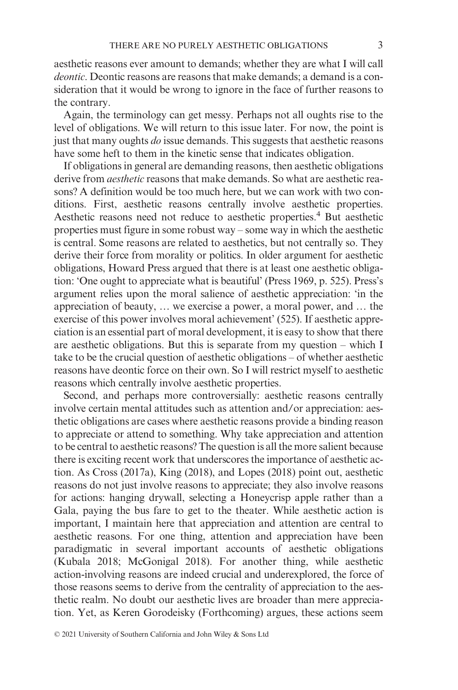aesthetic reasons ever amount to demands; whether they are what I will call *deontic*. Deontic reasons are reasons that make demands; a demand is a consideration that it would be wrong to ignore in the face of further reasons to the contrary.

Again, the terminology can get messy. Perhaps not all oughts rise to the level of obligations. We will return to this issue later. For now, the point is just that many oughts *do* issue demands. This suggests that aesthetic reasons have some heft to them in the kinetic sense that indicates obligation.

If obligations in general are demanding reasons, then aesthetic obligations derive from *aesthetic* reasons that make demands. So what are aesthetic reasons? A definition would be too much here, but we can work with two conditions. First, aesthetic reasons centrally involve aesthetic properties. Aesthetic reasons need not reduce to aesthetic properties.<sup>4</sup> But aesthetic properties must figure in some robust way – some way in which the aesthetic is central. Some reasons are related to aesthetics, but not centrally so. They derive their force from morality or politics. In older argument for aesthetic obligations, Howard Press argued that there is at least one aesthetic obligation: 'One ought to appreciate what is beautiful' (Press 1969, p. 525). Press's argument relies upon the moral salience of aesthetic appreciation: 'in the appreciation of beauty, … we exercise a power, a moral power, and … the exercise of this power involves moral achievement' (525). If aesthetic appreciation is an essential part of moral development, it is easy to show that there are aesthetic obligations. But this is separate from my question – which I take to be the crucial question of aesthetic obligations – of whether aesthetic reasons have deontic force on their own. So I will restrict myself to aesthetic reasons which centrally involve aesthetic properties.

Second, and perhaps more controversially: aesthetic reasons centrally involve certain mental attitudes such as attention and/or appreciation: aesthetic obligations are cases where aesthetic reasons provide a binding reason to appreciate or attend to something. Why take appreciation and attention to be central to aesthetic reasons? The question is all the more salient because there is exciting recent work that underscores the importance of aesthetic action. As Cross (2017a), King (2018), and Lopes (2018) point out, aesthetic reasons do not just involve reasons to appreciate; they also involve reasons for actions: hanging drywall, selecting a Honeycrisp apple rather than a Gala, paying the bus fare to get to the theater. While aesthetic action is important, I maintain here that appreciation and attention are central to aesthetic reasons. For one thing, attention and appreciation have been paradigmatic in several important accounts of aesthetic obligations (Kubala 2018; McGonigal 2018). For another thing, while aesthetic action-involving reasons are indeed crucial and underexplored, the force of those reasons seems to derive from the centrality of appreciation to the aesthetic realm. No doubt our aesthetic lives are broader than mere appreciation. Yet, as Keren Gorodeisky (Forthcoming) argues, these actions seem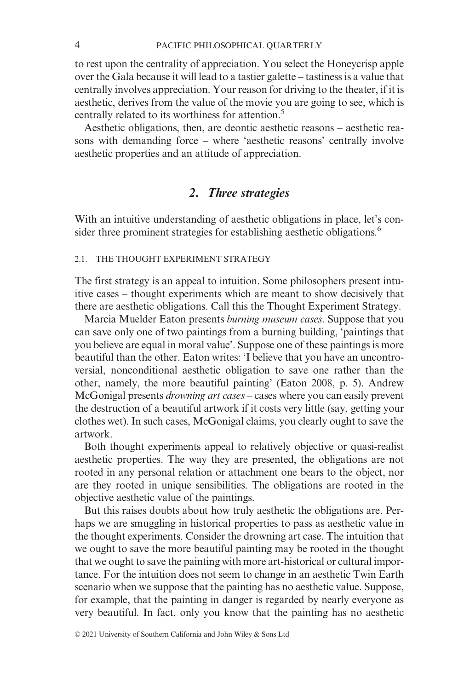to rest upon the centrality of appreciation. You select the Honeycrisp apple over the Gala because it will lead to a tastier galette – tastiness is a value that centrally involves appreciation. Your reason for driving to the theater, if it is aesthetic, derives from the value of the movie you are going to see, which is centrally related to its worthiness for attention.5

Aesthetic obligations, then, are deontic aesthetic reasons – aesthetic reasons with demanding force – where 'aesthetic reasons' centrally involve aesthetic properties and an attitude of appreciation.

# *2. Three strategies*

With an intuitive understanding of aesthetic obligations in place, let's consider three prominent strategies for establishing aesthetic obligations.<sup>6</sup>

### 2.1. THE THOUGHT EXPERIMENT STRATEGY

The first strategy is an appeal to intuition. Some philosophers present intuitive cases – thought experiments which are meant to show decisively that there are aesthetic obligations. Call this the Thought Experiment Strategy.

Marcia Muelder Eaton presents *burning museum cases*. Suppose that you can save only one of two paintings from a burning building, 'paintings that you believe are equal in moral value'. Suppose one of these paintings is more beautiful than the other. Eaton writes: 'I believe that you have an uncontroversial, nonconditional aesthetic obligation to save one rather than the other, namely, the more beautiful painting' (Eaton 2008, p. 5). Andrew McGonigal presents *drowning art cases* – cases where you can easily prevent the destruction of a beautiful artwork if it costs very little (say, getting your clothes wet). In such cases, McGonigal claims, you clearly ought to save the artwork.

Both thought experiments appeal to relatively objective or quasi-realist aesthetic properties. The way they are presented, the obligations are not rooted in any personal relation or attachment one bears to the object, nor are they rooted in unique sensibilities. The obligations are rooted in the objective aesthetic value of the paintings.

But this raises doubts about how truly aesthetic the obligations are. Perhaps we are smuggling in historical properties to pass as aesthetic value in the thought experiments. Consider the drowning art case. The intuition that we ought to save the more beautiful painting may be rooted in the thought that we ought to save the painting with more art-historical or cultural importance. For the intuition does not seem to change in an aesthetic Twin Earth scenario when we suppose that the painting has no aesthetic value. Suppose, for example, that the painting in danger is regarded by nearly everyone as very beautiful. In fact, only you know that the painting has no aesthetic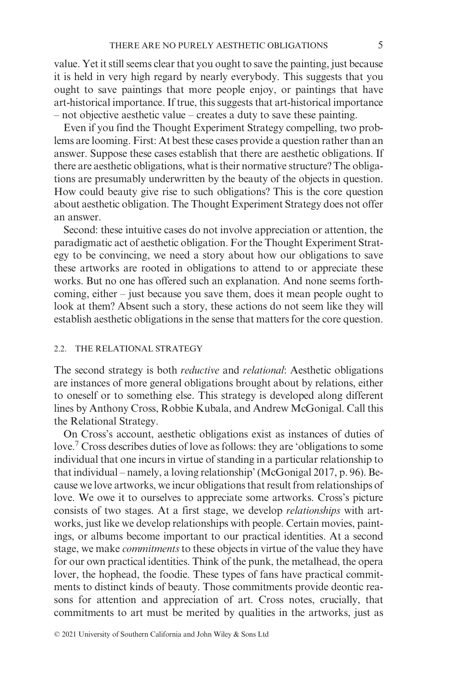value. Yet it still seems clear that you ought to save the painting, just because it is held in very high regard by nearly everybody. This suggests that you ought to save paintings that more people enjoy, or paintings that have art-historical importance. If true, this suggests that art-historical importance – not objective aesthetic value – creates a duty to save these painting.

Even if you find the Thought Experiment Strategy compelling, two problems are looming. First: At best these cases provide a question rather than an answer. Suppose these cases establish that there are aesthetic obligations. If there are aesthetic obligations, what is their normative structure? The obligations are presumably underwritten by the beauty of the objects in question. How could beauty give rise to such obligations? This is the core question about aesthetic obligation. The Thought Experiment Strategy does not offer an answer.

Second: these intuitive cases do not involve appreciation or attention, the paradigmatic act of aesthetic obligation. For the Thought Experiment Strategy to be convincing, we need a story about how our obligations to save these artworks are rooted in obligations to attend to or appreciate these works. But no one has offered such an explanation. And none seems forthcoming, either – just because you save them, does it mean people ought to look at them? Absent such a story, these actions do not seem like they will establish aesthetic obligations in the sense that matters for the core question.

#### 2.2. THE RELATIONAL STRATEGY

The second strategy is both *reductive* and *relational*: Aesthetic obligations are instances of more general obligations brought about by relations, either to oneself or to something else. This strategy is developed along different lines by Anthony Cross, Robbie Kubala, and Andrew McGonigal. Call this the Relational Strategy.

On Cross's account, aesthetic obligations exist as instances of duties of love.7 Cross describes duties of love as follows: they are 'obligations to some individual that one incurs in virtue of standing in a particular relationship to that individual – namely, a loving relationship' (McGonigal 2017, p. 96). Because we love artworks, we incur obligations that result from relationships of love. We owe it to ourselves to appreciate some artworks. Cross's picture consists of two stages. At a first stage, we develop *relationships* with artworks, just like we develop relationships with people. Certain movies, paintings, or albums become important to our practical identities. At a second stage, we make *commitments* to these objects in virtue of the value they have for our own practical identities. Think of the punk, the metalhead, the opera lover, the hophead, the foodie. These types of fans have practical commitments to distinct kinds of beauty. Those commitments provide deontic reasons for attention and appreciation of art. Cross notes, crucially, that commitments to art must be merited by qualities in the artworks, just as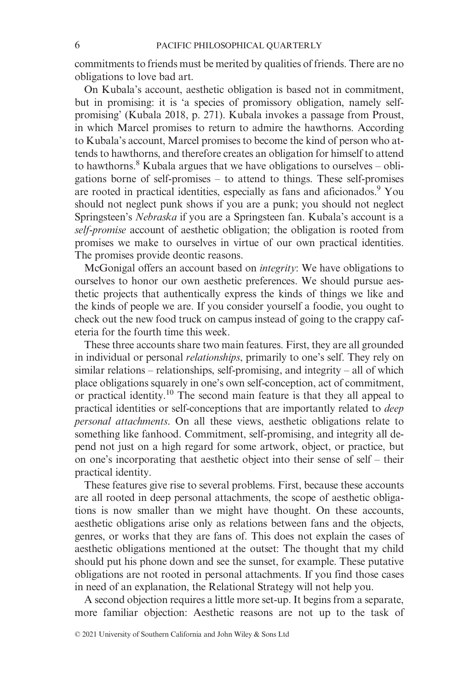commitments to friends must be merited by qualities of friends. There are no obligations to love bad art.

On Kubala's account, aesthetic obligation is based not in commitment, but in promising: it is 'a species of promissory obligation, namely selfpromising' (Kubala 2018, p. 271). Kubala invokes a passage from Proust, in which Marcel promises to return to admire the hawthorns. According to Kubala's account, Marcel promises to become the kind of person who attends to hawthorns, and therefore creates an obligation for himself to attend to hawthorns. $8$  Kubala argues that we have obligations to ourselves – obligations borne of self-promises – to attend to things. These self-promises are rooted in practical identities, especially as fans and aficionados.<sup>9</sup> You should not neglect punk shows if you are a punk; you should not neglect Springsteen's *Nebraska* if you are a Springsteen fan. Kubala's account is a *self-promise* account of aesthetic obligation; the obligation is rooted from promises we make to ourselves in virtue of our own practical identities. The promises provide deontic reasons.

McGonigal offers an account based on *integrity*: We have obligations to ourselves to honor our own aesthetic preferences. We should pursue aesthetic projects that authentically express the kinds of things we like and the kinds of people we are. If you consider yourself a foodie, you ought to check out the new food truck on campus instead of going to the crappy cafeteria for the fourth time this week.

These three accounts share two main features. First, they are all grounded in individual or personal *relationships*, primarily to one's self. They rely on similar relations – relationships, self-promising, and integrity – all of which place obligations squarely in one's own self-conception, act of commitment, or practical identity.10 The second main feature is that they all appeal to practical identities or self-conceptions that are importantly related to *deep personal attachments*. On all these views, aesthetic obligations relate to something like fanhood. Commitment, self-promising, and integrity all depend not just on a high regard for some artwork, object, or practice, but on one's incorporating that aesthetic object into their sense of self – their practical identity.

These features give rise to several problems. First, because these accounts are all rooted in deep personal attachments, the scope of aesthetic obligations is now smaller than we might have thought. On these accounts, aesthetic obligations arise only as relations between fans and the objects, genres, or works that they are fans of. This does not explain the cases of aesthetic obligations mentioned at the outset: The thought that my child should put his phone down and see the sunset, for example. These putative obligations are not rooted in personal attachments. If you find those cases in need of an explanation, the Relational Strategy will not help you.

A second objection requires a little more set-up. It begins from a separate, more familiar objection: Aesthetic reasons are not up to the task of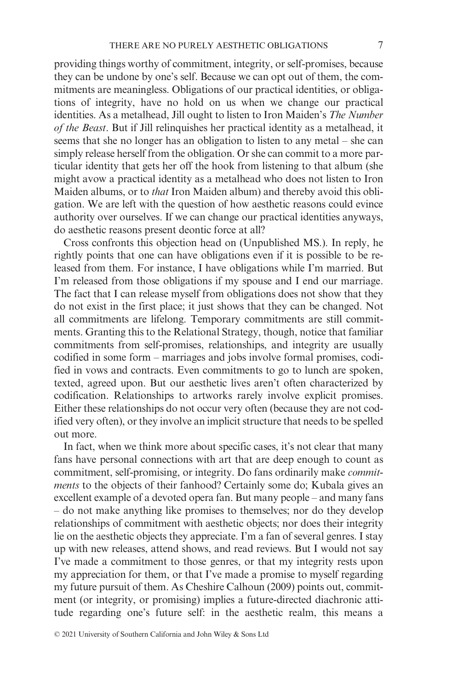providing things worthy of commitment, integrity, or self-promises, because they can be undone by one's self. Because we can opt out of them, the commitments are meaningless. Obligations of our practical identities, or obligations of integrity, have no hold on us when we change our practical identities. As a metalhead, Jill ought to listen to Iron Maiden's *The Number of the Beast*. But if Jill relinquishes her practical identity as a metalhead, it seems that she no longer has an obligation to listen to any metal – she can simply release herself from the obligation. Or she can commit to a more particular identity that gets her off the hook from listening to that album (she might avow a practical identity as a metalhead who does not listen to Iron Maiden albums, or to *that* Iron Maiden album) and thereby avoid this obligation. We are left with the question of how aesthetic reasons could evince authority over ourselves. If we can change our practical identities anyways, do aesthetic reasons present deontic force at all?

Cross confronts this objection head on (Unpublished MS.). In reply, he rightly points that one can have obligations even if it is possible to be released from them. For instance, I have obligations while I'm married. But I'm released from those obligations if my spouse and I end our marriage. The fact that I can release myself from obligations does not show that they do not exist in the first place; it just shows that they can be changed. Not all commitments are lifelong. Temporary commitments are still commitments. Granting this to the Relational Strategy, though, notice that familiar commitments from self-promises, relationships, and integrity are usually codified in some form – marriages and jobs involve formal promises, codified in vows and contracts. Even commitments to go to lunch are spoken, texted, agreed upon. But our aesthetic lives aren't often characterized by codification. Relationships to artworks rarely involve explicit promises. Either these relationships do not occur very often (because they are not codified very often), or they involve an implicit structure that needs to be spelled out more.

In fact, when we think more about specific cases, it's not clear that many fans have personal connections with art that are deep enough to count as commitment, self-promising, or integrity. Do fans ordinarily make *commitments* to the objects of their fanhood? Certainly some do; Kubala gives an excellent example of a devoted opera fan. But many people – and many fans – do not make anything like promises to themselves; nor do they develop relationships of commitment with aesthetic objects; nor does their integrity lie on the aesthetic objects they appreciate. I'm a fan of several genres. I stay up with new releases, attend shows, and read reviews. But I would not say I've made a commitment to those genres, or that my integrity rests upon my appreciation for them, or that I've made a promise to myself regarding my future pursuit of them. As Cheshire Calhoun (2009) points out, commitment (or integrity, or promising) implies a future-directed diachronic attitude regarding one's future self: in the aesthetic realm, this means a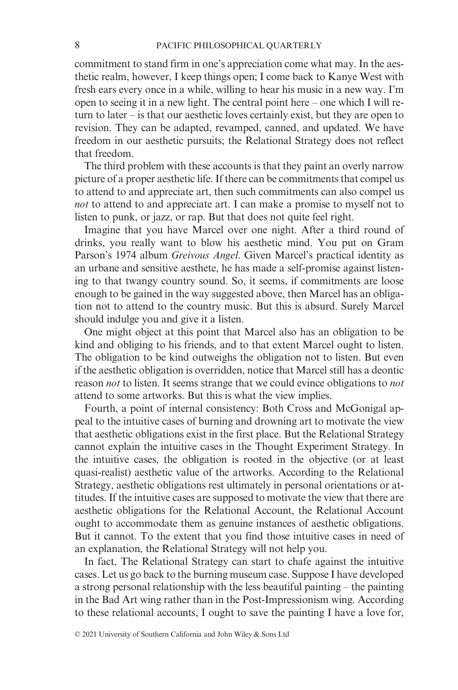commitment to stand firm in one's appreciation come what may. In the aesthetic realm, however, I keep things open; I come back to Kanye West with fresh ears every once in a while, willing to hear his music in a new way. I'm open to seeing it in a new light. The central point here – one which I will return to later – is that our aesthetic loves certainly exist, but they are open to revision. They can be adapted, revamped, canned, and updated. We have freedom in our aesthetic pursuits; the Relational Strategy does not reflect that freedom.

The third problem with these accounts is that they paint an overly narrow picture of a proper aesthetic life. If there can be commitments that compel us to attend to and appreciate art, then such commitments can also compel us *not* to attend to and appreciate art. I can make a promise to myself not to listen to punk, or jazz, or rap. But that does not quite feel right.

Imagine that you have Marcel over one night. After a third round of drinks, you really want to blow his aesthetic mind. You put on Gram Parson's 1974 album *Greivous Angel*. Given Marcel's practical identity as an urbane and sensitive aesthete, he has made a self-promise against listening to that twangy country sound. So, it seems, if commitments are loose enough to be gained in the way suggested above, then Marcel has an obligation not to attend to the country music. But this is absurd. Surely Marcel should indulge you and give it a listen.

One might object at this point that Marcel also has an obligation to be kind and obliging to his friends, and to that extent Marcel ought to listen. The obligation to be kind outweighs the obligation not to listen. But even if the aesthetic obligation is overridden, notice that Marcel still has a deontic reason *not* to listen. It seems strange that we could evince obligations to *not* attend to some artworks. But this is what the view implies.

Fourth, a point of internal consistency: Both Cross and McGonigal appeal to the intuitive cases of burning and drowning art to motivate the view that aesthetic obligations exist in the first place. But the Relational Strategy cannot explain the intuitive cases in the Thought Experiment Strategy. In the intuitive cases, the obligation is rooted in the objective (or at least quasi-realist) aesthetic value of the artworks. According to the Relational Strategy, aesthetic obligations rest ultimately in personal orientations or attitudes. If the intuitive cases are supposed to motivate the view that there are aesthetic obligations for the Relational Account, the Relational Account ought to accommodate them as genuine instances of aesthetic obligations. But it cannot. To the extent that you find those intuitive cases in need of an explanation, the Relational Strategy will not help you.

In fact, The Relational Strategy can start to chafe against the intuitive cases. Let us go back to the burning museum case. Suppose I have developed a strong personal relationship with the less beautiful painting – the painting in the Bad Art wing rather than in the Post-Impressionism wing. According to these relational accounts, I ought to save the painting I have a love for,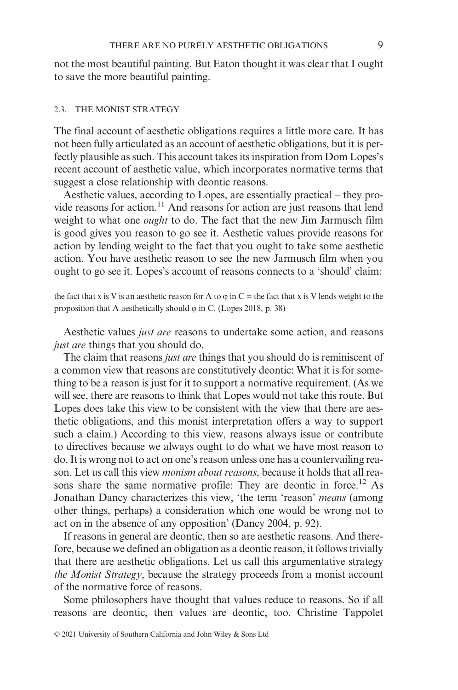not the most beautiful painting. But Eaton thought it was clear that I ought to save the more beautiful painting.

#### 2.3. THE MONIST STRATEGY

The final account of aesthetic obligations requires a little more care. It has not been fully articulated as an account of aesthetic obligations, but it is perfectly plausible as such. This account takes its inspiration from Dom Lopes's recent account of aesthetic value, which incorporates normative terms that suggest a close relationship with deontic reasons.

Aesthetic values, according to Lopes, are essentially practical – they provide reasons for action.11 And reasons for action are just reasons that lend weight to what one *ought* to do. The fact that the new Jim Jarmusch film is good gives you reason to go see it. Aesthetic values provide reasons for action by lending weight to the fact that you ought to take some aesthetic action. You have aesthetic reason to see the new Jarmusch film when you ought to go see it. Lopes's account of reasons connects to a 'should' claim:

the fact that x is V is an aesthetic reason for A to  $\varphi$  in C = the fact that x is V lends weight to the proposition that A aesthetically should  $\varphi$  in C. (Lopes 2018, p. 38)

Aesthetic values *just are* reasons to undertake some action, and reasons *just are* things that you should do.

The claim that reasons *just are* things that you should do is reminiscent of a common view that reasons are constitutively deontic: What it is for something to be a reason is just for it to support a normative requirement. (As we will see, there are reasons to think that Lopes would not take this route. But Lopes does take this view to be consistent with the view that there are aesthetic obligations, and this monist interpretation offers a way to support such a claim.) According to this view, reasons always issue or contribute to directives because we always ought to do what we have most reason to do. It is wrong not to act on one's reason unless one has a countervailing reason. Let us call this view *monism about reasons*, because it holds that all reasons share the same normative profile: They are deontic in force.<sup>12</sup> As Jonathan Dancy characterizes this view, 'the term 'reason' *means* (among other things, perhaps) a consideration which one would be wrong not to act on in the absence of any opposition' (Dancy 2004, p. 92).

If reasons in general are deontic, then so are aesthetic reasons. And therefore, because we defined an obligation as a deontic reason, it follows trivially that there are aesthetic obligations. Let us call this argumentative strategy *the Monist Strategy*, because the strategy proceeds from a monist account of the normative force of reasons.

Some philosophers have thought that values reduce to reasons. So if all reasons are deontic, then values are deontic, too. Christine Tappolet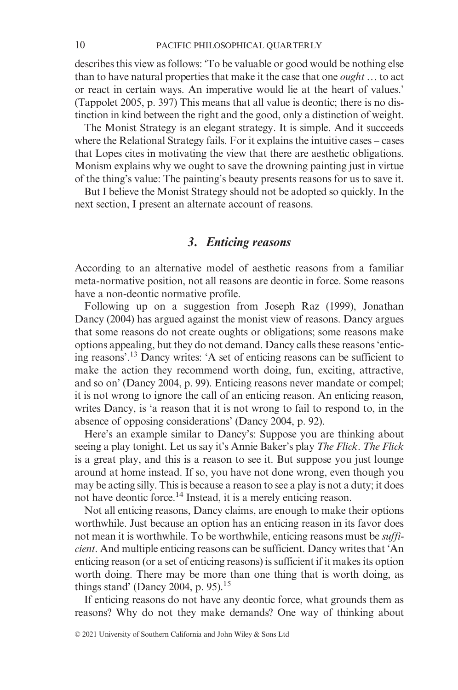describes this view as follows: 'To be valuable or good would be nothing else than to have natural properties that make it the case that one *ought* … to act or react in certain ways. An imperative would lie at the heart of values.' (Tappolet 2005, p. 397) This means that all value is deontic; there is no distinction in kind between the right and the good, only a distinction of weight.

The Monist Strategy is an elegant strategy. It is simple. And it succeeds where the Relational Strategy fails. For it explains the intuitive cases – cases that Lopes cites in motivating the view that there are aesthetic obligations. Monism explains why we ought to save the drowning painting just in virtue of the thing's value: The painting's beauty presents reasons for us to save it.

But I believe the Monist Strategy should not be adopted so quickly. In the next section, I present an alternate account of reasons.

# *3. Enticing reasons*

According to an alternative model of aesthetic reasons from a familiar meta-normative position, not all reasons are deontic in force. Some reasons have a non-deontic normative profile.

Following up on a suggestion from Joseph Raz (1999), Jonathan Dancy (2004) has argued against the monist view of reasons. Dancy argues that some reasons do not create oughts or obligations; some reasons make options appealing, but they do not demand. Dancy calls these reasons 'enticing reasons'. <sup>13</sup> Dancy writes: 'A set of enticing reasons can be sufficient to make the action they recommend worth doing, fun, exciting, attractive, and so on' (Dancy 2004, p. 99). Enticing reasons never mandate or compel; it is not wrong to ignore the call of an enticing reason. An enticing reason, writes Dancy, is 'a reason that it is not wrong to fail to respond to, in the absence of opposing considerations' (Dancy 2004, p. 92).

Here's an example similar to Dancy's: Suppose you are thinking about seeing a play tonight. Let us say it's Annie Baker's play *The Flick*. *The Flick* is a great play, and this is a reason to see it. But suppose you just lounge around at home instead. If so, you have not done wrong, even though you may be acting silly. This is because a reason to see a play is not a duty; it does not have deontic force.14 Instead, it is a merely enticing reason.

Not all enticing reasons, Dancy claims, are enough to make their options worthwhile. Just because an option has an enticing reason in its favor does not mean it is worthwhile. To be worthwhile, enticing reasons must be *sufficient*. And multiple enticing reasons can be sufficient. Dancy writes that 'An enticing reason (or a set of enticing reasons) is sufficient if it makes its option worth doing. There may be more than one thing that is worth doing, as things stand' (Dancy 2004, p. 95).<sup>15</sup>

If enticing reasons do not have any deontic force, what grounds them as reasons? Why do not they make demands? One way of thinking about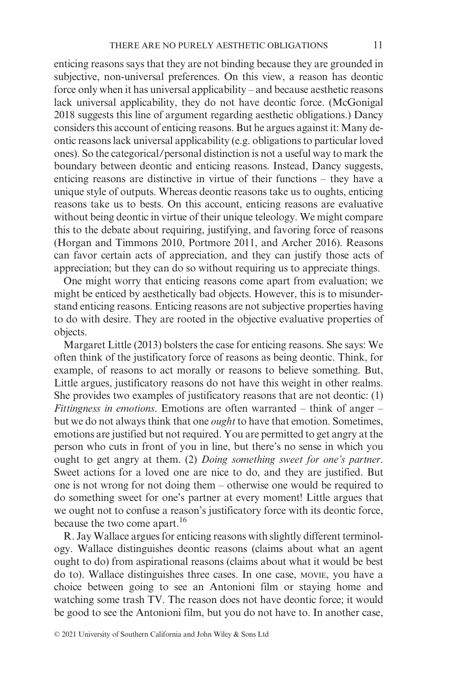enticing reasons says that they are not binding because they are grounded in subjective, non-universal preferences. On this view, a reason has deontic force only when it has universal applicability – and because aesthetic reasons lack universal applicability, they do not have deontic force. (McGonigal 2018 suggests this line of argument regarding aesthetic obligations.) Dancy considers this account of enticing reasons. But he argues against it: Many deontic reasons lack universal applicability (e.g. obligations to particular loved ones). So the categorical/personal distinction is not a useful way to mark the boundary between deontic and enticing reasons. Instead, Dancy suggests, enticing reasons are distinctive in virtue of their functions – they have a unique style of outputs. Whereas deontic reasons take us to oughts, enticing reasons take us to bests. On this account, enticing reasons are evaluative without being deontic in virtue of their unique teleology. We might compare this to the debate about requiring, justifying, and favoring force of reasons (Horgan and Timmons 2010, Portmore 2011, and Archer 2016). Reasons can favor certain acts of appreciation, and they can justify those acts of appreciation; but they can do so without requiring us to appreciate things.

One might worry that enticing reasons come apart from evaluation; we might be enticed by aesthetically bad objects. However, this is to misunderstand enticing reasons. Enticing reasons are not subjective properties having to do with desire. They are rooted in the objective evaluative properties of objects.

Margaret Little (2013) bolsters the case for enticing reasons. She says: We often think of the justificatory force of reasons as being deontic. Think, for example, of reasons to act morally or reasons to believe something. But, Little argues, justificatory reasons do not have this weight in other realms. She provides two examples of justificatory reasons that are not deontic: (1) *Fittingness in emotions*. Emotions are often warranted – think of anger – but we do not always think that one *ought* to have that emotion. Sometimes, emotions are justified but not required. You are permitted to get angry at the person who cuts in front of you in line, but there's no sense in which you ought to get angry at them. (2) *Doing something sweet for one's partner*. Sweet actions for a loved one are nice to do, and they are justified. But one is not wrong for not doing them – otherwise one would be required to do something sweet for one's partner at every moment! Little argues that we ought not to confuse a reason's justificatory force with its deontic force, because the two come apart.<sup>16</sup>

R. Jay Wallace argues for enticing reasons with slightly different terminology. Wallace distinguishes deontic reasons (claims about what an agent ought to do) from aspirational reasons (claims about what it would be best do to). Wallace distinguishes three cases. In one case, MOVIE, you have a choice between going to see an Antonioni film or staying home and watching some trash TV. The reason does not have deontic force; it would be good to see the Antonioni film, but you do not have to. In another case,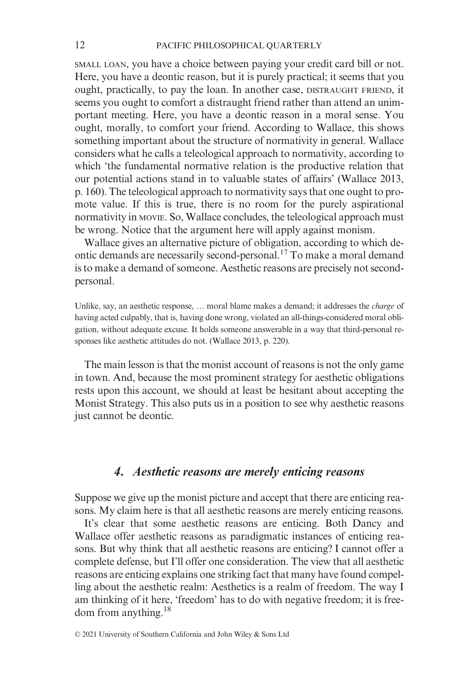SMALL LOAN, you have a choice between paying your credit card bill or not. Here, you have a deontic reason, but it is purely practical; it seems that you ought, practically, to pay the loan. In another case, DISTRAUGHT FRIEND, it seems you ought to comfort a distraught friend rather than attend an unimportant meeting. Here, you have a deontic reason in a moral sense. You ought, morally, to comfort your friend. According to Wallace, this shows something important about the structure of normativity in general. Wallace considers what he calls a teleological approach to normativity, according to which 'the fundamental normative relation is the productive relation that our potential actions stand in to valuable states of affairs' (Wallace 2013, p. 160). The teleological approach to normativity says that one ought to promote value. If this is true, there is no room for the purely aspirational normativity in MOVIE. So, Wallace concludes, the teleological approach must be wrong. Notice that the argument here will apply against monism.

Wallace gives an alternative picture of obligation, according to which deontic demands are necessarily second-personal.17 To make a moral demand is to make a demand of someone. Aesthetic reasons are precisely not secondpersonal.

Unlike, say, an aesthetic response, … moral blame makes a demand; it addresses the *charge* of having acted culpably, that is, having done wrong, violated an all-things-considered moral obligation, without adequate excuse. It holds someone answerable in a way that third-personal responses like aesthetic attitudes do not. (Wallace 2013, p. 220).

The main lesson is that the monist account of reasons is not the only game in town. And, because the most prominent strategy for aesthetic obligations rests upon this account, we should at least be hesitant about accepting the Monist Strategy. This also puts us in a position to see why aesthetic reasons just cannot be deontic.

### *4. Aesthetic reasons are merely enticing reasons*

Suppose we give up the monist picture and accept that there are enticing reasons. My claim here is that all aesthetic reasons are merely enticing reasons.

It's clear that some aesthetic reasons are enticing. Both Dancy and Wallace offer aesthetic reasons as paradigmatic instances of enticing reasons. But why think that all aesthetic reasons are enticing? I cannot offer a complete defense, but I'll offer one consideration. The view that all aesthetic reasons are enticing explains one striking fact that many have found compelling about the aesthetic realm: Aesthetics is a realm of freedom. The way I am thinking of it here, 'freedom' has to do with negative freedom; it is freedom from anything.18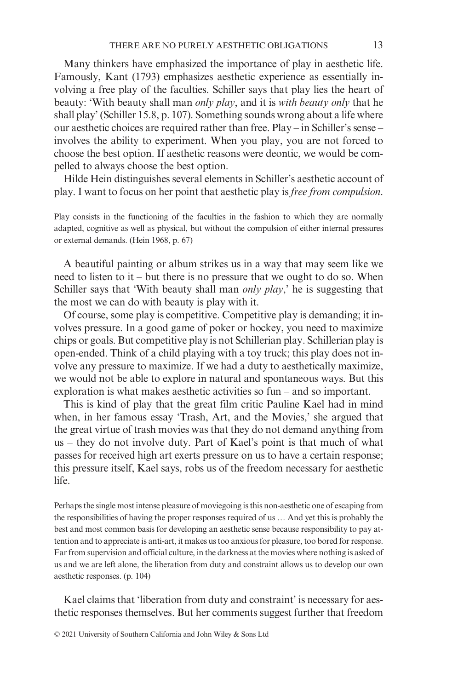Many thinkers have emphasized the importance of play in aesthetic life. Famously, Kant (1793) emphasizes aesthetic experience as essentially involving a free play of the faculties. Schiller says that play lies the heart of beauty: 'With beauty shall man *only play*, and it is *with beauty only* that he shall play' (Schiller 15.8, p. 107). Something sounds wrong about a life where our aesthetic choices are required rather than free. Play – in Schiller's sense – involves the ability to experiment. When you play, you are not forced to choose the best option. If aesthetic reasons were deontic, we would be compelled to always choose the best option.

Hilde Hein distinguishes several elements in Schiller's aesthetic account of play. I want to focus on her point that aesthetic play is *free from compulsion*.

Play consists in the functioning of the faculties in the fashion to which they are normally adapted, cognitive as well as physical, but without the compulsion of either internal pressures or external demands. (Hein 1968, p. 67)

A beautiful painting or album strikes us in a way that may seem like we need to listen to it – but there is no pressure that we ought to do so. When Schiller says that 'With beauty shall man *only play*,' he is suggesting that the most we can do with beauty is play with it.

Of course, some play is competitive. Competitive play is demanding; it involves pressure. In a good game of poker or hockey, you need to maximize chips or goals. But competitive play is not Schillerian play. Schillerian play is open-ended. Think of a child playing with a toy truck; this play does not involve any pressure to maximize. If we had a duty to aesthetically maximize, we would not be able to explore in natural and spontaneous ways. But this exploration is what makes aesthetic activities so fun – and so important.

This is kind of play that the great film critic Pauline Kael had in mind when, in her famous essay 'Trash, Art, and the Movies,' she argued that the great virtue of trash movies was that they do not demand anything from us – they do not involve duty. Part of Kael's point is that much of what passes for received high art exerts pressure on us to have a certain response; this pressure itself, Kael says, robs us of the freedom necessary for aesthetic life.

Perhaps the single most intense pleasure of moviegoing is this non-aesthetic one of escaping from the responsibilities of having the proper responses required of us … And yet this is probably the best and most common basis for developing an aesthetic sense because responsibility to pay attention and to appreciate is anti-art, it makes us too anxious for pleasure, too bored for response. Far from supervision and official culture, in the darkness at the movies where nothing is asked of us and we are left alone, the liberation from duty and constraint allows us to develop our own aesthetic responses. (p. 104)

Kael claims that 'liberation from duty and constraint' is necessary for aesthetic responses themselves. But her comments suggest further that freedom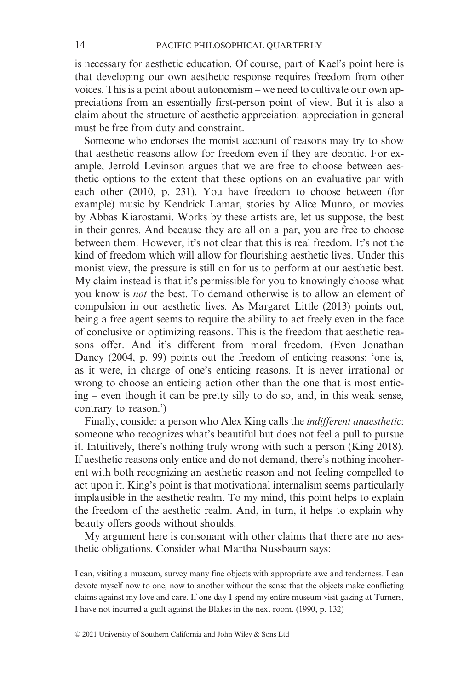is necessary for aesthetic education. Of course, part of Kael's point here is that developing our own aesthetic response requires freedom from other voices. This is a point about autonomism – we need to cultivate our own appreciations from an essentially first-person point of view. But it is also a claim about the structure of aesthetic appreciation: appreciation in general must be free from duty and constraint.

Someone who endorses the monist account of reasons may try to show that aesthetic reasons allow for freedom even if they are deontic. For example, Jerrold Levinson argues that we are free to choose between aesthetic options to the extent that these options on an evaluative par with each other (2010, p. 231). You have freedom to choose between (for example) music by Kendrick Lamar, stories by Alice Munro, or movies by Abbas Kiarostami. Works by these artists are, let us suppose, the best in their genres. And because they are all on a par, you are free to choose between them. However, it's not clear that this is real freedom. It's not the kind of freedom which will allow for flourishing aesthetic lives. Under this monist view, the pressure is still on for us to perform at our aesthetic best. My claim instead is that it's permissible for you to knowingly choose what you know is *not* the best. To demand otherwise is to allow an element of compulsion in our aesthetic lives. As Margaret Little (2013) points out, being a free agent seems to require the ability to act freely even in the face of conclusive or optimizing reasons. This is the freedom that aesthetic reasons offer. And it's different from moral freedom. (Even Jonathan Dancy (2004, p. 99) points out the freedom of enticing reasons: 'one is, as it were, in charge of one's enticing reasons. It is never irrational or wrong to choose an enticing action other than the one that is most enticing – even though it can be pretty silly to do so, and, in this weak sense, contrary to reason.')

Finally, consider a person who Alex King calls the *indifferent anaesthetic*: someone who recognizes what's beautiful but does not feel a pull to pursue it. Intuitively, there's nothing truly wrong with such a person (King 2018). If aesthetic reasons only entice and do not demand, there's nothing incoherent with both recognizing an aesthetic reason and not feeling compelled to act upon it. King's point is that motivational internalism seems particularly implausible in the aesthetic realm. To my mind, this point helps to explain the freedom of the aesthetic realm. And, in turn, it helps to explain why beauty offers goods without shoulds.

My argument here is consonant with other claims that there are no aesthetic obligations. Consider what Martha Nussbaum says:

I can, visiting a museum, survey many fine objects with appropriate awe and tenderness. I can devote myself now to one, now to another without the sense that the objects make conflicting claims against my love and care. If one day I spend my entire museum visit gazing at Turners, I have not incurred a guilt against the Blakes in the next room. (1990, p. 132)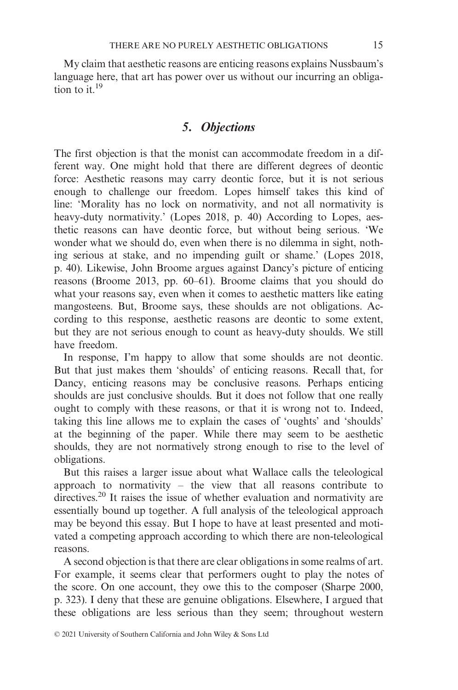My claim that aesthetic reasons are enticing reasons explains Nussbaum's language here, that art has power over us without our incurring an obligation to it.<sup>19</sup>

# *5. Objections*

The first objection is that the monist can accommodate freedom in a different way. One might hold that there are different degrees of deontic force: Aesthetic reasons may carry deontic force, but it is not serious enough to challenge our freedom. Lopes himself takes this kind of line: 'Morality has no lock on normativity, and not all normativity is heavy-duty normativity.' (Lopes 2018, p. 40) According to Lopes, aesthetic reasons can have deontic force, but without being serious. 'We wonder what we should do, even when there is no dilemma in sight, nothing serious at stake, and no impending guilt or shame.' (Lopes 2018, p. 40). Likewise, John Broome argues against Dancy's picture of enticing reasons (Broome 2013, pp. 60–61). Broome claims that you should do what your reasons say, even when it comes to aesthetic matters like eating mangosteens. But, Broome says, these shoulds are not obligations. According to this response, aesthetic reasons are deontic to some extent, but they are not serious enough to count as heavy-duty shoulds. We still have freedom.

In response, I'm happy to allow that some shoulds are not deontic. But that just makes them 'shoulds' of enticing reasons. Recall that, for Dancy, enticing reasons may be conclusive reasons. Perhaps enticing shoulds are just conclusive shoulds. But it does not follow that one really ought to comply with these reasons, or that it is wrong not to. Indeed, taking this line allows me to explain the cases of 'oughts' and 'shoulds' at the beginning of the paper. While there may seem to be aesthetic shoulds, they are not normatively strong enough to rise to the level of obligations.

But this raises a larger issue about what Wallace calls the teleological approach to normativity – the view that all reasons contribute to directives.<sup>20</sup> It raises the issue of whether evaluation and normativity are essentially bound up together. A full analysis of the teleological approach may be beyond this essay. But I hope to have at least presented and motivated a competing approach according to which there are non-teleological reasons.

A second objection is that there are clear obligations in some realms of art. For example, it seems clear that performers ought to play the notes of the score. On one account, they owe this to the composer (Sharpe 2000, p. 323). I deny that these are genuine obligations. Elsewhere, I argued that these obligations are less serious than they seem; throughout western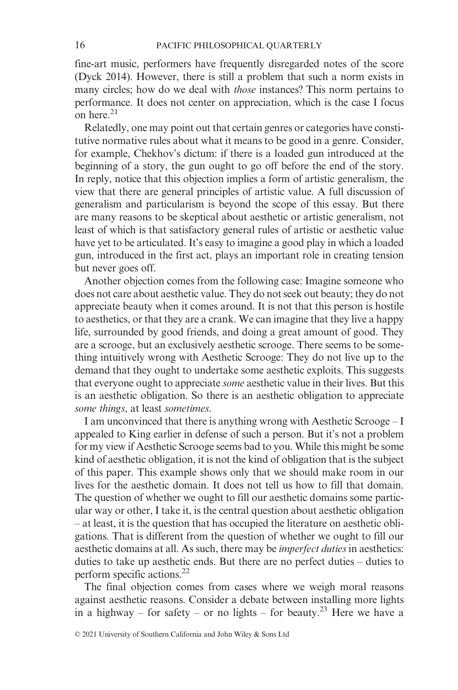fine-art music, performers have frequently disregarded notes of the score (Dyck 2014). However, there is still a problem that such a norm exists in many circles; how do we deal with *those* instances? This norm pertains to performance. It does not center on appreciation, which is the case I focus on here.21

Relatedly, one may point out that certain genres or categories have constitutive normative rules about what it means to be good in a genre. Consider, for example, Chekhov's dictum: if there is a loaded gun introduced at the beginning of a story, the gun ought to go off before the end of the story. In reply, notice that this objection implies a form of artistic generalism, the view that there are general principles of artistic value. A full discussion of generalism and particularism is beyond the scope of this essay. But there are many reasons to be skeptical about aesthetic or artistic generalism, not least of which is that satisfactory general rules of artistic or aesthetic value have yet to be articulated. It's easy to imagine a good play in which a loaded gun, introduced in the first act, plays an important role in creating tension but never goes off.

Another objection comes from the following case: Imagine someone who does not care about aesthetic value. They do not seek out beauty; they do not appreciate beauty when it comes around. It is not that this person is hostile to aesthetics, or that they are a crank. We can imagine that they live a happy life, surrounded by good friends, and doing a great amount of good. They are a scrooge, but an exclusively aesthetic scrooge. There seems to be something intuitively wrong with Aesthetic Scrooge: They do not live up to the demand that they ought to undertake some aesthetic exploits. This suggests that everyone ought to appreciate *some* aesthetic value in their lives. But this is an aesthetic obligation. So there is an aesthetic obligation to appreciate *some things*, at least *sometimes*.

I am unconvinced that there is anything wrong with Aesthetic Scrooge – I appealed to King earlier in defense of such a person. But it's not a problem for my view if Aesthetic Scrooge seems bad to you. While this might be some kind of aesthetic obligation, it is not the kind of obligation that is the subject of this paper. This example shows only that we should make room in our lives for the aesthetic domain. It does not tell us how to fill that domain. The question of whether we ought to fill our aesthetic domains some particular way or other, I take it, is the central question about aesthetic obligation – at least, it is the question that has occupied the literature on aesthetic obligations. That is different from the question of whether we ought to fill our aesthetic domains at all. As such, there may be *imperfect duties* in aesthetics: duties to take up aesthetic ends. But there are no perfect duties – duties to perform specific actions.22

The final objection comes from cases where we weigh moral reasons against aesthetic reasons. Consider a debate between installing more lights in a highway – for safety – or no lights – for beauty.<sup>23</sup> Here we have a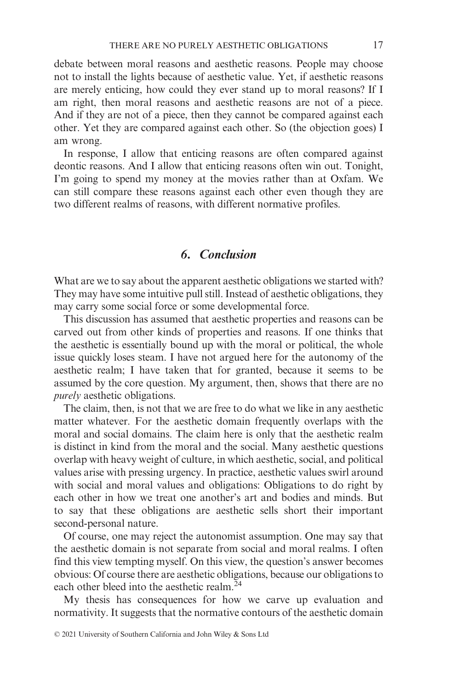debate between moral reasons and aesthetic reasons. People may choose not to install the lights because of aesthetic value. Yet, if aesthetic reasons are merely enticing, how could they ever stand up to moral reasons? If I am right, then moral reasons and aesthetic reasons are not of a piece. And if they are not of a piece, then they cannot be compared against each other. Yet they are compared against each other. So (the objection goes) I am wrong.

In response, I allow that enticing reasons are often compared against deontic reasons. And I allow that enticing reasons often win out. Tonight, I'm going to spend my money at the movies rather than at Oxfam. We can still compare these reasons against each other even though they are two different realms of reasons, with different normative profiles.

### 6. Conclusion

What are we to say about the apparent aesthetic obligations we started with? They may have some intuitive pull still. Instead of aesthetic obligations, they may carry some social force or some developmental force.

This discussion has assumed that aesthetic properties and reasons can be carved out from other kinds of properties and reasons. If one thinks that the aesthetic is essentially bound up with the moral or political, the whole issue quickly loses steam. I have not argued here for the autonomy of the aesthetic realm; I have taken that for granted, because it seems to be assumed by the core question. My argument, then, shows that there are no *purely* aesthetic obligations.

The claim, then, is not that we are free to do what we like in any aesthetic matter whatever. For the aesthetic domain frequently overlaps with the moral and social domains. The claim here is only that the aesthetic realm is distinct in kind from the moral and the social. Many aesthetic questions overlap with heavy weight of culture, in which aesthetic, social, and political values arise with pressing urgency. In practice, aesthetic values swirl around with social and moral values and obligations: Obligations to do right by each other in how we treat one another's art and bodies and minds. But to say that these obligations are aesthetic sells short their important second-personal nature.

Of course, one may reject the autonomist assumption. One may say that the aesthetic domain is not separate from social and moral realms. I often find this view tempting myself. On this view, the question's answer becomes obvious: Of course there are aesthetic obligations, because our obligations to each other bleed into the aesthetic realm. $24$ 

My thesis has consequences for how we carve up evaluation and normativity. It suggests that the normative contours of the aesthetic domain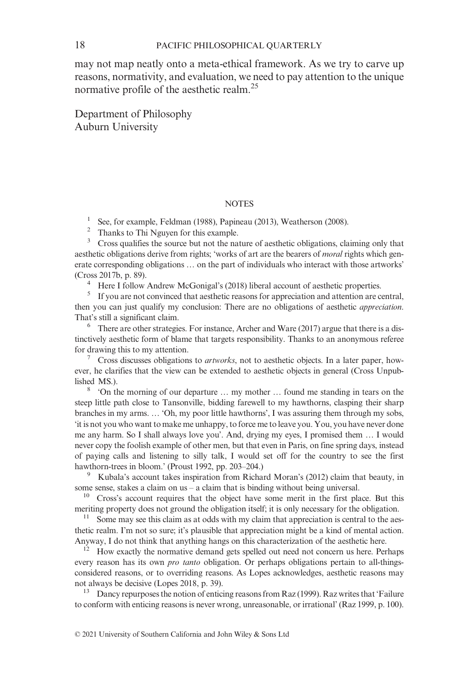18 PACIFIC PHILOSOPHICAL QUARTERLY

may not map neatly onto a meta-ethical framework. As we try to carve up reasons, normativity, and evaluation, we need to pay attention to the unique normative profile of the aesthetic realm.<sup>25</sup>

Department of Philosophy Auburn University

#### **NOTES**

<sup>1</sup> See, for example, Feldman (1988), Papineau (2013), Weatherson (2008).

<sup>2</sup> Thanks to Thi Nguyen for this example.<br><sup>3</sup> Cross qualifies the source but not the na

<sup>3</sup> Cross qualifies the source but not the nature of aesthetic obligations, claiming only that aesthetic obligations derive from rights; 'works of art are the bearers of *moral* rights which generate corresponding obligations … on the part of individuals who interact with those artworks' (Cross 2017b, p. 89).

<sup>4</sup> Here I follow Andrew McGonigal's (2018) liberal account of aesthetic properties.

<sup>5</sup> If you are not convinced that aesthetic reasons for appreciation and attention are central, then you can just qualify my conclusion: There are no obligations of aesthetic *appreciation*. That's still a significant claim.

 $6\degree$  There are other strategies. For instance, Archer and Ware (2017) argue that there is a distinctively aesthetic form of blame that targets responsibility. Thanks to an anonymous referee for drawing this to my attention.

<sup>7</sup> Cross discusses obligations to *artworks*, not to aesthetic objects. In a later paper, however, he clarifies that the view can be extended to aesthetic objects in general (Cross Unpublished MS.).

<sup>8</sup> 'On the morning of our departure … my mother … found me standing in tears on the steep little path close to Tansonville, bidding farewell to my hawthorns, clasping their sharp branches in my arms. … 'Oh, my poor little hawthorns', I was assuring them through my sobs, 'it is not you who want to make me unhappy, to force me to leave you. You, you have never done me any harm. So I shall always love you'. And, drying my eyes, I promised them … I would never copy the foolish example of other men, but that even in Paris, on fine spring days, instead of paying calls and listening to silly talk, I would set off for the country to see the first hawthorn-trees in bloom.' (Proust 1992, pp. 203–204.)

<sup>9</sup> Kubala's account takes inspiration from Richard Moran's (2012) claim that beauty, in some sense, stakes a claim on us – a claim that is binding without being universal.

<sup>10</sup> Cross's account requires that the object have some merit in the first place. But this meriting property does not ground the obligation itself; it is only necessary for the obligation.

<sup>11</sup> Some may see this claim as at odds with my claim that appreciation is central to the aesthetic realm. I'm not so sure; it's plausible that appreciation might be a kind of mental action. Anyway, I do not think that anything hangs on this characterization of the aesthetic here.

<sup>12</sup> How exactly the normative demand gets spelled out need not concern us here. Perhaps every reason has its own *pro tanto* obligation. Or perhaps obligations pertain to all-thingsconsidered reasons, or to overriding reasons. As Lopes acknowledges, aesthetic reasons may not always be decisive (Lopes 2018, p. 39).<br><sup>13</sup> Dancy repurposes the notion of enticing reasons from Raz (1999). Raz writes that 'Failure

to conform with enticing reasons is never wrong, unreasonable, or irrational' (Raz 1999, p. 100).

© 2021 University of Southern California and John Wiley & Sons Ltd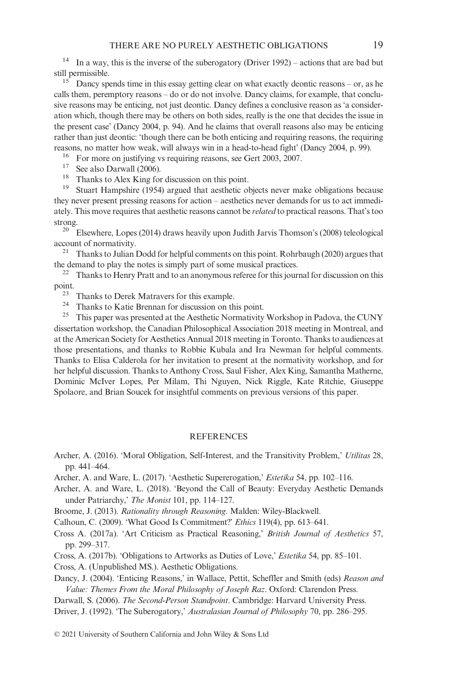<sup>14</sup> In a way, this is the inverse of the suberogatory (Driver 1992) – actions that are bad but still permissible.

<sup>15</sup> Dancy spends time in this essay getting clear on what exactly deontic reasons – or, as he calls them, peremptory reasons – do or do not involve. Dancy claims, for example, that conclusive reasons may be enticing, not just deontic. Dancy defines a conclusive reason as 'a consideration which, though there may be others on both sides, really is the one that decides the issue in the present case' (Dancy 2004, p. 94). And he claims that overall reasons also may be enticing rather than just deontic: 'though there can be both enticing and requiring reasons, the requiring reasons, no matter how weak, will always win in a head-to-head fight' (Dancy 2004, p. 99).<br><sup>16</sup> For more on justifying vs requiring reasons, see Gert 2003, 2007.<br><sup>17</sup> See also Darwall (2006).

- 
- $18$  Thanks to Alex King for discussion on this point.

<sup>19</sup> Stuart Hampshire (1954) argued that aesthetic objects never make obligations because they never present pressing reasons for action – aesthetics never demands for us to act immediately. This move requires that aesthetic reasons cannot be *related* to practical reasons. That's too

strong.<br><sup>20</sup> Elsewhere, Lopes (2014) draws heavily upon Judith Jarvis Thomson's (2008) teleological account of normativity.

<sup>21</sup> Thanks to Julian Dodd for helpful comments on this point. Rohrbaugh (2020) argues that the demand to play the notes is simply part of some musical practices.<br> $\frac{22}{12}$  Thanks to Henry Pratt and to an anonymous referee for this jour

Thanks to Henry Pratt and to an anonymous referee for this journal for discussion on this point.

<sup>23</sup> Thanks to Derek Matravers for this example.<br><sup>24</sup> Thanks to Katie Brennan for discussion on this point.

<sup>25</sup> This paper was presented at the Aesthetic Normativity Workshop in Padova, the CUNY dissertation workshop, the Canadian Philosophical Association 2018 meeting in Montreal, and at the American Society for Aesthetics Annual 2018 meeting in Toronto. Thanks to audiences at those presentations, and thanks to Robbie Kubala and Ira Newman for helpful comments. Thanks to Elisa Calderola for her invitation to present at the normativity workshop, and for her helpful discussion. Thanks to Anthony Cross, Saul Fisher, Alex King, Samantha Matherne, Dominic McIver Lopes, Per Milam, Thi Nguyen, Nick Riggle, Kate Ritchie, Giuseppe Spolaore, and Brian Soucek for insightful comments on previous versions of this paper.

#### **REFERENCES**

- Archer, A. (2016). 'Moral Obligation, Self-Interest, and the Transitivity Problem,' *Utilitas* 28, pp. 441–464.
- Archer, A. and Ware, L. (2017). 'Aesthetic Supererogation,' *Estetika* 54, pp. 102–116.
- Archer, A. and Ware, L. (2018). 'Beyond the Call of Beauty: Everyday Aesthetic Demands under Patriarchy,' *The Monist* 101, pp. 114–127.
- Broome, J. (2013). *Rationality through Reasoning*. Malden: Wiley-Blackwell.
- Calhoun, C. (2009). 'What Good Is Commitment?' *Ethics* 119(4), pp. 613–641.
- Cross A. (2017a). 'Art Criticism as Practical Reasoning,' *British Journal of Aesthetics* 57, pp. 299–317.
- Cross, A. (2017b). 'Obligations to Artworks as Duties of Love,' *Estetika* 54, pp. 85–101.
- Cross, A. (Unpublished MS.). Aesthetic Obligations.
- Dancy, J. (2004). 'Enticing Reasons,' in Wallace, Pettit, Scheffler and Smith (eds) *Reason and Value: Themes From the Moral Philosophy of Joseph Raz*. Oxford: Clarendon Press.
- Darwall, S. (2006). *The Second-Person Standpoint*. Cambridge: Harvard University Press.
- Driver, J. (1992). 'The Suberogatory,' *Australasian Journal of Philosophy* 70, pp. 286–295.

© 2021 University of Southern California and John Wiley & Sons Ltd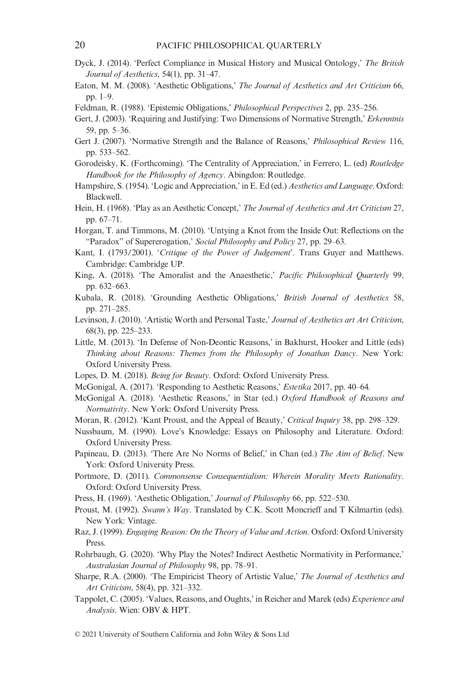- Dyck, J. (2014). 'Perfect Compliance in Musical History and Musical Ontology,' *The British Journal of Aesthetics*, 54(1), pp. 31–47.
- Eaton, M. M. (2008). 'Aesthetic Obligations,' *The Journal of Aesthetics and Art Criticism* 66, pp. 1–9.
- Feldman, R. (1988). 'Epistemic Obligations,' *Philosophical Perspectives* 2, pp. 235–256.
- Gert, J. (2003). 'Requiring and Justifying: Two Dimensions of Normative Strength,' *Erkenntnis* 59, pp. 5–36.
- Gert J. (2007). 'Normative Strength and the Balance of Reasons,' *Philosophical Review* 116, pp. 533–562.
- Gorodeisky, K. (Forthcoming). 'The Centrality of Appreciation,' in Ferrero, L. (ed) *Routledge Handbook for the Philosophy of Agency*. Abingdon: Routledge.
- Hampshire, S. (1954). 'Logic and Appreciation,' in E. Ed (ed.) *Aesthetics and Language*. Oxford: Blackwell.
- Hein, H. (1968). 'Play as an Aesthetic Concept,' *The Journal of Aesthetics and Art Criticism* 27, pp. 67–71.
- Horgan, T. and Timmons, M. (2010). 'Untying a Knot from the Inside Out: Reflections on the "Paradox" of Supererogation,' *Social Philosophy and Policy* 27, pp. 29–63.
- Kant, I. (1793/2001). '*Critique of the Power of Judgement*'. Trans Guyer and Matthews. Cambridge: Cambridge UP.
- King, A. (2018). 'The Amoralist and the Anaesthetic,' *Pacific Philosophical Quarterly* 99, pp. 632–663.
- Kubala, R. (2018). 'Grounding Aesthetic Obligations,' *British Journal of Aesthetics* 58, pp. 271–285.
- Levinson, J. (2010). 'Artistic Worth and Personal Taste,' *Journal of Aesthetics art Art Criticism*, 68(3), pp. 225–233.
- Little, M. (2013). 'In Defense of Non-Deontic Reasons,' in Bakhurst, Hooker and Little (eds) *Thinking about Reasons: Themes from the Philosophy of Jonathan Dancy*. New York: Oxford University Press.
- Lopes, D. M. (2018). *Being for Beauty*. Oxford: Oxford University Press.
- McGonigal, A. (2017). 'Responding to Aesthetic Reasons,' *Estetika* 2017, pp. 40–64.
- McGonigal A. (2018). 'Aesthetic Reasons,' in Star (ed.) *Oxford Handbook of Reasons and Normativity*. New York: Oxford University Press.
- Moran, R. (2012). 'Kant Proust, and the Appeal of Beauty,' *Critical Inquiry* 38, pp. 298–329.
- Nussbaum, M. (1990). Love's Knowledge: Essays on Philosophy and Literature. Oxford: Oxford University Press.
- Papineau, D. (2013). 'There Are No Norms of Belief,' in Chan (ed.) *The Aim of Belief*. New York: Oxford University Press.
- Portmore, D. (2011). *Commonsense Consequentialism: Wherein Morality Meets Rationality*. Oxford: Oxford University Press.
- Press, H. (1969). 'Aesthetic Obligation,' *Journal of Philosophy* 66, pp. 522–530.
- Proust, M. (1992). *Swann's Way*. Translated by C.K. Scott Moncrieff and T Kilmartin (eds). New York: Vintage.
- Raz, J. (1999). *Engaging Reason: On the Theory of Value and Action*. Oxford: Oxford University Press.
- Rohrbaugh, G. (2020). 'Why Play the Notes? Indirect Aesthetic Normativity in Performance,' *Australasian Journal of Philosophy* 98, pp. 78–91.
- Sharpe, R.A. (2000). 'The Empiricist Theory of Artistic Value,' *The Journal of Aesthetics and Art Criticism*, 58(4), pp. 321–332.
- Tappolet, C. (2005). 'Values, Reasons, and Oughts,' in Reicher and Marek (eds) *Experience and Analysis*. Wien: OBV & HPT.

© 2021 University of Southern California and John Wiley & Sons Ltd